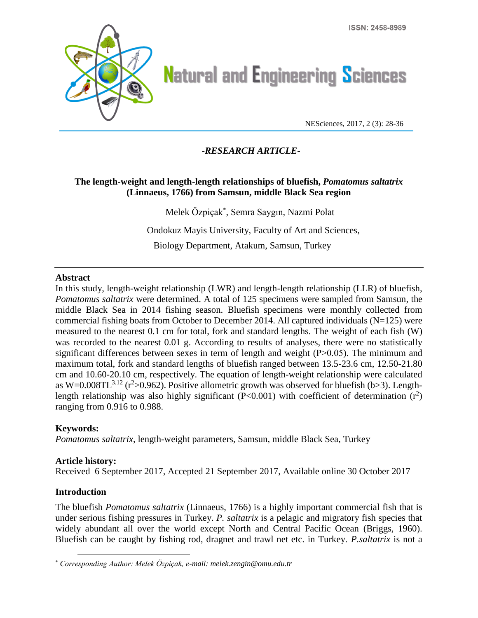

# **Natural and Engineering Sciences**

NESciences, 2017, 2 (3): 28-36

## **-***RESEARCH ARTICLE***-**

## **The length-weight and length-length relationships of bluefish,** *Pomatomus saltatrix* **(Linnaeus, 1766) from Samsun, middle Black Sea region**

Melek Özpiçak\* , Semra Saygın, Nazmi Polat Ondokuz Mayis University, Faculty of Art and Sciences, Biology Department, Atakum, Samsun, Turkey

#### **Abstract**

In this study, length-weight relationship (LWR) and length-length relationship (LLR) of bluefish, *Pomatomus saltatrix* were determined. A total of 125 specimens were sampled from Samsun, the middle Black Sea in 2014 fishing season. Bluefish specimens were monthly collected from commercial fishing boats from October to December 2014. All captured individuals (N=125) were measured to the nearest 0.1 cm for total, fork and standard lengths. The weight of each fish (W) was recorded to the nearest 0.01 g. According to results of analyses, there were no statistically significant differences between sexes in term of length and weight  $(P>0.05)$ . The minimum and maximum total, fork and standard lengths of bluefish ranged between 13.5-23.6 cm, 12.50-21.80 cm and 10.60-20.10 cm, respectively. The equation of length-weight relationship were calculated as W=0.008TL<sup>3.12</sup> ( $r^2 > 0.962$ ). Positive allometric growth was observed for bluefish (b>3). Lengthlength relationship was also highly significant ( $P<0.001$ ) with coefficient of determination ( $r<sup>2</sup>$ ) ranging from 0.916 to 0.988.

### **Keywords:**

*Pomatomus saltatrix*, length-weight parameters, Samsun, middle Black Sea, Turkey

### **Article history:**

Received 6 September 2017, Accepted 21 September 2017, Available online 30 October 2017

### **Introduction**

 $\overline{a}$ 

The bluefish *Pomatomus saltatrix* (Linnaeus, 1766) is a highly important commercial fish that is under serious fishing pressures in Turkey. *P. saltatrix* is a pelagic and migratory fish species that widely abundant all over the world except North and Central Pacific Ocean (Briggs, 1960). Bluefish can be caught by fishing rod, dragnet and trawl net etc. in Turkey. *P.saltatrix* is not a

<sup>\*</sup> *Corresponding Author: Melek Özpiçak, e-mail: melek.zengin@omu.edu.tr*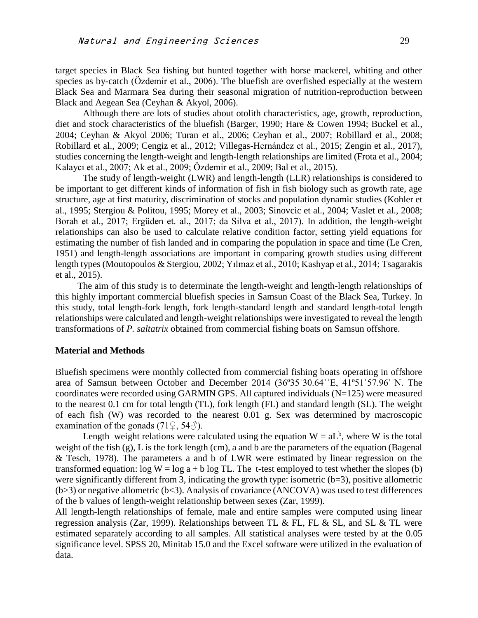target species in Black Sea fishing but hunted together with horse mackerel, whiting and other species as by-catch (Özdemir et al., 2006). The bluefish are overfished especially at the western Black Sea and Marmara Sea during their seasonal migration of nutrition-reproduction between Black and Aegean Sea (Ceyhan & Akyol, 2006).

Although there are lots of studies about otolith characteristics, age, growth, reproduction, diet and stock characteristics of the bluefish (Barger, 1990; Hare & Cowen 1994; Buckel et al., 2004; Ceyhan & Akyol 2006; Turan et al., 2006; Ceyhan et al., 2007; Robillard et al., 2008; Robillard et al., 2009; Cengiz et al., 2012; Villegas-Hernández et al., 2015; Zengin et al., 2017), studies concerning the length-weight and length-length relationships are limited (Frota et al., 2004; Kalaycı et al., 2007; Ak et al., 2009; Özdemir et al., 2009; Bal et al., 2015).

The study of length-weight (LWR) and length-length (LLR) relationships is considered to be important to get different kinds of information of fish in fish biology such as growth rate, age structure, age at first maturity, discrimination of stocks and population dynamic studies (Kohler et al., 1995; Stergiou & Politou, 1995; Morey et al., 2003; Sinovcic et al., 2004; Vaslet et al., 2008; Borah et al., 2017; Ergüden et. al., 2017; da Silva et al., 2017). In addition, the length-weight relationships can also be used to calculate relative condition factor, setting yield equations for estimating the number of fish landed and in comparing the population in space and time (Le Cren, 1951) and length-length associations are important in comparing growth studies using different length types (Moutopoulos & Stergiou, 2002; Yılmaz et al., 2010; Kashyap et al., 2014; Tsagarakis et al., 2015).

The aim of this study is to determinate the length-weight and length-length relationships of this highly important commercial bluefish species in Samsun Coast of the Black Sea, Turkey. In this study, total length-fork length, fork length-standard length and standard length-total length relationships were calculated and length-weight relationships were investigated to reveal the length transformations of *P. saltatrix* obtained from commercial fishing boats on Samsun offshore.

#### **Material and Methods**

Bluefish specimens were monthly collected from commercial fishing boats operating in offshore area of Samsun between October and December 2014 (36º35ˈ30.64ˈˈE, 41º51ˈ57.96ˈˈN. The coordinates were recorded using GARMIN GPS. All captured individuals (N=125) were measured to the nearest 0.1 cm for total length (TL), fork length (FL) and standard length (SL). The weight of each fish (W) was recorded to the nearest 0.01 g. Sex was determined by macroscopic examination of the gonads  $(71\degree, 54\degree)$ .

Length–weight relations were calculated using the equation  $W = aL<sup>b</sup>$ , where W is the total weight of the fish  $(g)$ , L is the fork length (cm), a and b are the parameters of the equation (Bagenal & Tesch, 1978). The parameters a and b of LWR were estimated by linear regression on the transformed equation:  $\log W = \log a + b \log TL$ . The t-test employed to test whether the slopes (b) were significantly different from 3, indicating the growth type: isometric  $(b=3)$ , positive allometric  $(b>3)$  or negative allometric  $(b<3)$ . Analysis of covariance (ANCOVA) was used to test differences of the b values of length-weight relationship between sexes (Zar, 1999).

All length-length relationships of female, male and entire samples were computed using linear regression analysis (Zar, 1999). Relationships between TL & FL, FL & SL, and SL & TL were estimated separately according to all samples. All statistical analyses were tested by at the 0.05 significance level. SPSS 20, Minitab 15.0 and the Excel software were utilized in the [evaluation](http://tureng.com/search/evaluation) of data.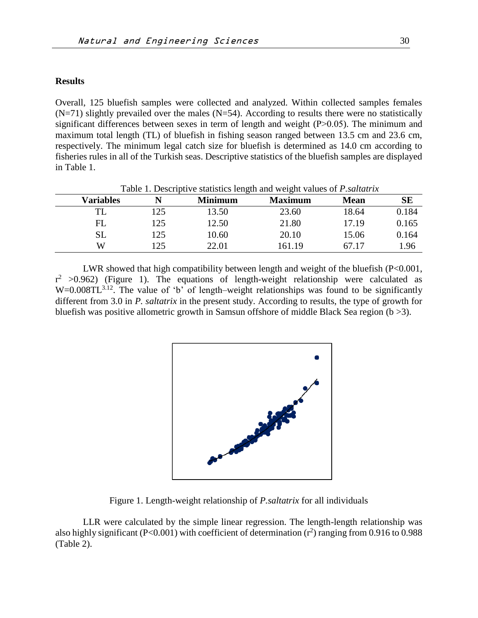#### **Results**

Overall, 125 bluefish samples were collected and analyzed. Within collected samples females  $(N=71)$  slightly prevailed over the males  $(N=54)$ . According to results there were no statistically significant differences between sexes in term of length and weight  $(P>0.05)$ . The minimum and maximum total length (TL) of bluefish in fishing season ranged between 13.5 cm and 23.6 cm, respectively. The minimum legal catch size for bluefish is determined as 14.0 cm according to fisheries rules in all of the Turkish seas. Descriptive statistics of the bluefish samples are displayed in Table 1.

| Table 1. Descriptive statistics length and weight values of <i>P. saltatrix</i> |     |                |                |             |       |  |  |  |
|---------------------------------------------------------------------------------|-----|----------------|----------------|-------------|-------|--|--|--|
| <b>Variables</b>                                                                |     | <b>Minimum</b> | <b>Maximum</b> | <b>Mean</b> | SЕ    |  |  |  |
| TL                                                                              | 125 | 13.50          | 23.60          | 18.64       | 0.184 |  |  |  |
| FL                                                                              | 125 | 12.50          | 21.80          | 17.19       | 0.165 |  |  |  |
| SL                                                                              | 25  | 10.60          | 20.10          | 15.06       | 0.164 |  |  |  |
| W                                                                               | 25  | 22.01          | 161.19         | 67 17       | 1.96  |  |  |  |

LWR showed that high compatibility between length and weight of the bluefish (P<0.001,  $r^2 > 0.962$ ) (Figure 1). The equations of length-weight relationship were calculated as  $W=0.008TL^{3.12}$ . The value of 'b' of length–weight relationships was found to be significantly different from 3.0 in *P. saltatrix* in the present study. According to results, the type of growth for bluefish was positive allometric growth in Samsun offshore of middle Black Sea region (b >3).



Figure 1. Length-weight relationship of *P.saltatrix* for all individuals

LLR were calculated by the simple linear regression. The length-length relationship was also highly significant (P<0.001) with coefficient of determination  $(r^2)$  ranging from 0.916 to 0.988 (Table 2).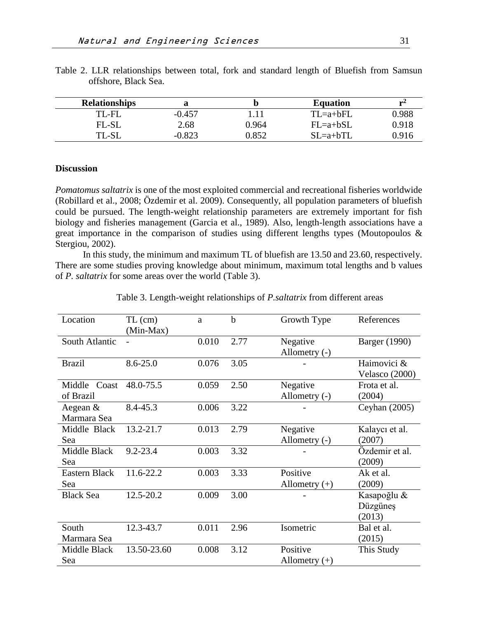| <b>Relationships</b> |          |       | <b>Equation</b> | r~4   |
|----------------------|----------|-------|-----------------|-------|
| TL-FL                | $-0.457$ | 1.11  | $TL=a+bFL$      | 0.988 |
| FL-SL                | 2.68     | 0.964 | $FL=a+bSL$      | 0.918 |
| TL-SL                | $-0.823$ | 0.852 | $SL=a+bTL$      | 0.916 |

Table 2. LLR relationships between total, fork and standard length of Bluefish from Samsun offshore, Black Sea.

### **Discussion**

*Pomatomus saltatrix* is one of the most exploited commercial and recreational fisheries worldwide (Robillard et al., 2008; Özdemir et al. 2009). Consequently, all population parameters of bluefish could be pursued. The length-weight relationship parameters are extremely important for fish biology and fisheries management (Garcia et al., 1989). Also, length-length associations have a great importance in the comparison of studies using different lengths types (Moutopoulos & Stergiou, 2002).

In this study, the minimum and maximum TL of bluefish are 13.50 and 23.60, respectively. There are some studies proving knowledge about minimum, maximum total lengths and b values of *P. saltatrix* for some areas over the world (Table 3).

| Location                     | $TL$ (cm)<br>(Min-Max) | a     | b    | Growth Type                 | References                        |
|------------------------------|------------------------|-------|------|-----------------------------|-----------------------------------|
| South Atlantic               |                        | 0.010 | 2.77 | Negative<br>Allometry (-)   | <b>Barger</b> (1990)              |
| <b>Brazil</b>                | $8.6 - 25.0$           | 0.076 | 3.05 |                             | Haimovici &<br>Velasco (2000)     |
| Middle<br>Coast<br>of Brazil | 48.0-75.5              | 0.059 | 2.50 | Negative<br>Allometry $(-)$ | Frota et al.<br>(2004)            |
| Aegean &<br>Marmara Sea      | 8.4-45.3               | 0.006 | 3.22 |                             | Ceyhan $(2005)$                   |
| Middle Black<br>Sea          | 13.2-21.7              | 0.013 | 2.79 | Negative<br>Allometry (-)   | Kalaycı et al.<br>(2007)          |
| Middle Black<br>Sea          | $9.2 - 23.4$           | 0.003 | 3.32 |                             | Özdemir et al.<br>(2009)          |
| <b>Eastern Black</b><br>Sea  | 11.6-22.2              | 0.003 | 3.33 | Positive<br>Allometry $(+)$ | Ak et al.<br>(2009)               |
| <b>Black Sea</b>             | 12.5-20.2              | 0.009 | 3.00 |                             | Kasapoğlu &<br>Düzgüneş<br>(2013) |
| South<br>Marmara Sea         | 12.3-43.7              | 0.011 | 2.96 | Isometric                   | Bal et al.<br>(2015)              |
| Middle Black<br>Sea          | 13.50-23.60            | 0.008 | 3.12 | Positive<br>Allometry $(+)$ | This Study                        |

Table 3. Length-weight relationships of *P.saltatrix* from different areas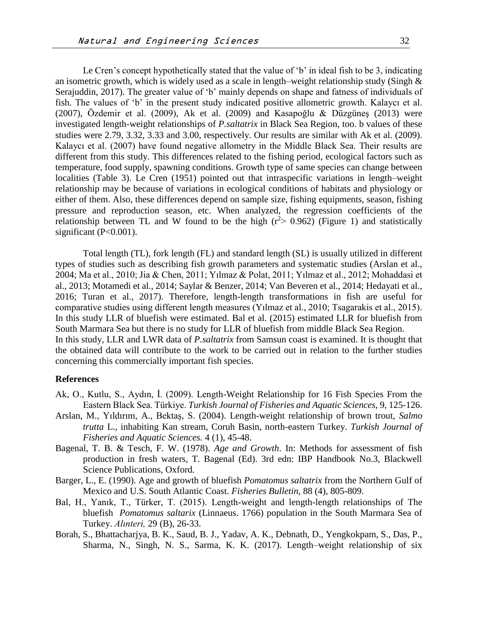Le Cren's concept hypothetically stated that the value of 'b' in ideal fish to be 3, indicating an isometric growth, which is widely used as a scale in length–weight relationship study (Singh & Serajuddin, 2017). The greater value of 'b' mainly depends on shape and fatness of individuals of fish. The values of 'b' in the present study indicated positive allometric growth. Kalaycı et al. (2007), Özdemir et al. (2009), Ak et al. (2009) and Kasapoğlu & Düzgüneş (2013) were investigated length-weight relationships of *P.saltatrix* in Black Sea Region, too. b values of these studies were 2.79, 3.32, 3.33 and 3.00, respectively. Our results are similar with Ak et al. (2009). Kalaycı et al. (2007) have found negative allometry in the Middle Black Sea. Their results are different from this study. This differences related to the fishing period, ecological factors such as temperature, food supply, spawning conditions. Growth type of same species can change between localities (Table 3). Le Cren (1951) pointed out that intraspecific variations in length–weight relationship may be because of variations in ecological conditions of habitats and physiology or either of them. Also, these differences depend on sample size, fishing equipments, season, fishing pressure and reproduction season, etc. When analyzed, the regression coefficients of the relationship between TL and W found to be the high  $(r^2 > 0.962)$  (Figure 1) and statistically significant (P<0.001).

Total length (TL), fork length (FL) and standard length (SL) is usually utilized in different types of studies such as describing fish growth parameters and systematic studies (Arslan et al., 2004; Ma et al., 2010; Jia & Chen, 2011; Yılmaz & Polat, 2011; Yılmaz et al., 2012; Mohaddasi et al., 2013; Motamedi et al., 2014; Saylar & Benzer, 2014; Van Beveren et al., 2014; Hedayati et al., 2016; Turan et al., 2017). Therefore, length-length transformations in fish are useful for comparative studies using different length measures (Yılmaz et al., 2010; Tsagarakis et al., 2015). In this study LLR of bluefish were estimated. Bal et al. (2015) estimated LLR for bluefish from South Marmara Sea but there is no study for LLR of bluefish from middle Black Sea Region. In this study, LLR and LWR data of *P.saltatrix* from Samsun coast is examined. It is thought that the obtained data will contribute to the work to be carried out in relation to the further studies concerning this commercially important fish species.

#### **References**

- Ak, O., Kutlu, S., Aydın, İ. (2009). Length-Weight Relationship for 16 Fish Species From the Eastern Black Sea. Türkiye. *Turkish Journal of Fisheries and Aquatic Sciences,* 9, 125-126.
- Arslan, M., Yıldırım, A., Bektaş, S. (2004). Length-weight relationship of brown trout, *Salmo trutta* L., inhabiting Kan stream, Coruh Basin, north-eastern Turkey. *Turkish Journal of Fisheries and Aquatic Sciences.* 4 (1), 45-48.
- Bagenal, T. B. & Tesch, F. W. (1978). *Age and Growth*. In: Methods for assessment of fish production in fresh waters, T. Bagenal (Ed). 3rd edn: IBP Handbook No.3, Blackwell Science Publications, Oxford.
- Barger, L., E. (1990). Age and growth of bluefish *Pomatomus saltatrix* from the Northern Gulf of Mexico and U.S. South Atlantic Coast. *Fisheries Bulletin*, 88 (4), 805-809.
- Bal, H., Yanık, T., Türker, T. (2015). Length-weight and length-length relationships of The bluefish *Pomatomus saltarix* (Linnaeus. 1766) population in the South Marmara Sea of Turkey. *Alınteri,* 29 (B), 26-33.
- Borah, S., Bhattacharjya, B. K., Saud, B. J., Yadav, A. K., Debnath, D., Yengkokpam, S., Das, P., Sharma, N., Singh, N. S., Sarma, K. K. (2017). Length–weight relationship of six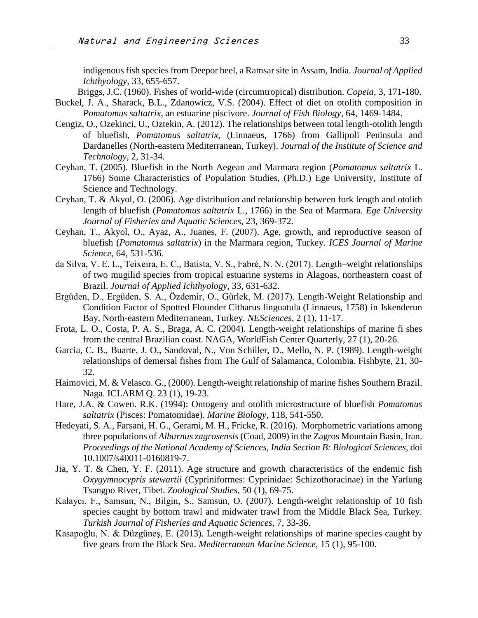indigenous fish species from Deepor beel, a Ramsar site in Assam, India. *Journal of Applied Ichthyology*, 33, 655-657.

Briggs, J.C. (1960). Fishes of world-wide (circumtropical) distribution. *Copeia*, 3, 171-180.

- Buckel, J. A., Sharack, B.L., Zdanowicz, V.S. (2004). Effect of diet on otolith composition in *Pomatomus saltatrix*, an estuarine piscivore. *Journal of Fish Biology*, 64, 1469-1484.
- Cengiz, O., Ozekinci, U., Oztekin, A. (2012). The relationships between total length-otolith length of bluefish, *Pomatomus saltatrix*, (Linnaeus, 1766) from Gallipoli Peninsula and Dardanelles (North-eastern Mediterranean, Turkey). *Journal of the Institute of Science and Technology*, 2, 31-34.
- Ceyhan, T. (2005). Bluefish in the North Aegean and Marmara region (*Pomatomus saltatrix* L. 1766) Some Characteristics of Population Studies, (Ph.D.) Ege University, Institute of Science and Technology.
- Ceyhan, T. & Akyol, O. (2006). Age distribution and relationship between fork length and otolith length of bluefish (*Pomatomus saltatrix* L., 1766) in the Sea of Marmara. *Ege University Journal of Fisheries and Aquatic Sciences,* 23, 369-372.
- Ceyhan, T., Akyol, O., Ayaz, A., Juanes, F. (2007). Age, growth, and reproductive season of bluefish (*Pomatomus saltatrix*) in the Marmara region, Turkey. *ICES Journal of Marine Science,* 64, 531-536.
- da Silva, V. E. L., Teixeira, E. C., Batista, V. S., Fabré, N. N. (2017). Length–weight relationships of two mugilid species from tropical estuarine systems in Alagoas, northeastern coast of Brazil. *Journal of Applied Ichthyology*, 33, 631-632.
- Ergüden, D., Ergüden, S. A., Özdemir, O., Gürlek, M. (2017). Length-Weight Relationship and Condition Factor of Spotted Flounder Citharus linguatula (Linnaeus, 1758) in Iskenderun Bay, North-eastern Mediterranean, Turkey. *NESciences,* 2 (1), 11-17.
- Frota, L. O., Costa, P. A. S., Braga, A. C. (2004). Length-weight relationships of marine fi shes from the central Brazilian coast. NAGA, WorldFish Center Quarterly, 27 (1), 20-26.
- Garcia, C. B., Buarte, J. O., Sandoval, N., Von Schiller, D., Mello, N. P. (1989). Length-weight relationships of demersal fishes from The Gulf of Salamanca, Colombia. Fishbyte, 21, 30- 32.
- Haimovici, M. & Velasco. G., (2000). Length-weight relationship of marine fishes Southern Brazil. Naga. ICLARM Q. 23 (1), 19-23.
- Hare, J.A. & Cowen. R.K. (1994): Ontogeny and otolith microstructure of bluefish *Pomatomus saltatrix* (Pisces: Pomatomidae). *Marine Biology*, 118, 541-550.
- Hedeyati, S. A., Farsani, H. G., Gerami, M. H., Fricke, R. (2016). Morphometric variations among three populations of *Alburnus zagrosensis* (Coad, 2009) in the Zagros Mountain Basin, Iran. *Proceedings of the National Academy of Sciences, India Section B: Biological Sciences,* doi 10.1007/s40011-0160819-7.
- Jia, Y. T. & Chen, Y. F. (2011). Age structure and growth characteristics of the endemic fish *Oxygymnocypris stewartii* (Cypriniformes: Cyprinidae: Schizothoracinae) in the Yarlung Tsangpo River, Tibet. *Zoological Studies*, 50 (1), 69-75.
- Kalaycı, F., Samsun, N., Bilgin, S., Samsun, O. (2007). Length-weight relationship of 10 fish species caught by bottom trawl and midwater trawl from the Middle Black Sea, Turkey. *Turkish Journal of Fisheries and Aquatic Sciences*, 7, 33-36.
- Kasapoğlu, N. & Düzgüneş, E. (2013). Length-weight relationships of marine species caught by five gears from the Black Sea. *Mediterranean Marine Science,* 15 (1), 95-100.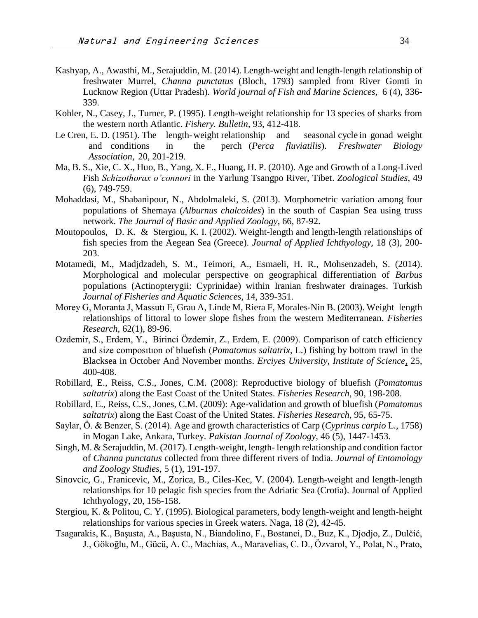- Kashyap, A., Awasthi, M., Serajuddin, M. (2014). Length-weight and length-length relationship of freshwater Murrel, *Channa punctatus* (Bloch, 1793) sampled from River Gomti in Lucknow Region (Uttar Pradesh). *World journal of Fish and Marine Sciences,* 6 (4), 336- 339.
- Kohler, N., Casey, J., Turner, P. (1995). Length-weight relationship for 13 species of sharks from the western north Atlantic. *Fishery. Bulletin*, 93, 412-418.
- Le Cren, E. D. (1951). The length-weight relationship and seasonal cycle in gonad weight and conditions in the perch (*Perca fluviatilis*). *Freshwater Biology Association,* 20, 201-219.
- Ma, B. S., Xie, C. X., Huo, B., Yang, X. F., Huang, H. P. (2010). Age and Growth of a Long-Lived Fish *Schizothorax o'connori* in the Yarlung Tsangpo River, Tibet. *Zoological Studies*, 49 (6), 749-759.
- Mohaddasi, M., Shabanipour, N., Abdolmaleki, S. (2013). Morphometric variation among four populations of Shemaya (*Alburnus chalcoides*) in the south of Caspian Sea using truss network. *The Journal of Basic and Applied Zoology*, 66, 87-92.
- Moutopoulos, D. K. & Stergiou, K. I. (2002). Weight-length and length-length relationships of fish species from the Aegean Sea (Greece). *Journal of Applied Ichthyology,* 18 (3), 200- 203.
- Motamedi, M., Madjdzadeh, S. M., Teimori, A., Esmaeli, H. R., Mohsenzadeh, S. (2014). Morphological and molecular perspective on geographical differentiation of *Barbus* populations (Actinopterygii: Cyprinidae) within Iranian freshwater drainages. Turkish *Journal of Fisheries and Aquatic Sciences*, 14, 339-351.
- Morey G, Moranta J, Massutı E, Grau A, Linde M, Riera F, Morales-Nin B. (2003). Weight–length relationships of littoral to lower slope fishes from the western Mediterranean. *Fisheries Research*, 62(1), 89-96.
- Ozdemir, S., Erdem, Y., Birinci Özdemir, Z., Erdem, E. (2009). Comparison of catch efficiency and size composıtıon of bluefısh (*Pomatomus saltatrix*, L.) fishing by bottom trawl in the Blacksea in October And November months. *Erciyes University, [Institute of Science,](http://tureng.com/search/institute%20of%20science)* 25, 400-408.
- Robillard, E., Reiss, C.S., Jones, C.M. (2008): Reproductive biology of bluefish (*Pomatomus saltatrix*) along the East Coast of the United States. *Fisheries Research*, 90, 198-208.
- Robillard, E., Reiss, C.S., Jones, C.M. (2009): Age-validation and growth of bluefish (*Pomatomus saltatrix*) along the East Coast of the United States. *Fisheries Research*, 95, 65-75.
- Saylar, Ö. & Benzer, S. (2014). Age and growth characteristics of Carp (*Cyprinus carpio* L., 1758) in Mogan Lake, Ankara, Turkey*. Pakistan Journal of Zoology*, 46 (5), 1447-1453.
- Singh, M. & Serajuddin, M. (2017). Length-weight, length- length relationship and condition factor of *Channa punctatus* collected from three different rivers of India. *Journal of Entomology and Zoology Studies*, 5 (1), 191-197.
- Sinovcic, G., Franicevic, M., Zorica, B., Ciles-Kec, V. (2004). Length-weight and length-length relationships for 10 pelagic fish species from the Adriatic Sea (Crotia). Journal of Applied Ichthyology, 20, 156-158.
- Stergiou, K. & Politou, C. Y. (1995). Biological parameters, body length-weight and length-height relationships for various species in Greek waters. Naga, 18 (2), 42-45.
- Tsagarakis, K., Başusta, A., Başusta, N., Biandolino, F., Bostanci, D., Buz, K., Djodjo, Z., Dulčić, J., Gökoğlu, M., Gücü, A. C., Machias, A., Maravelias, C. D., Özvarol, Y., Polat, N., Prato,